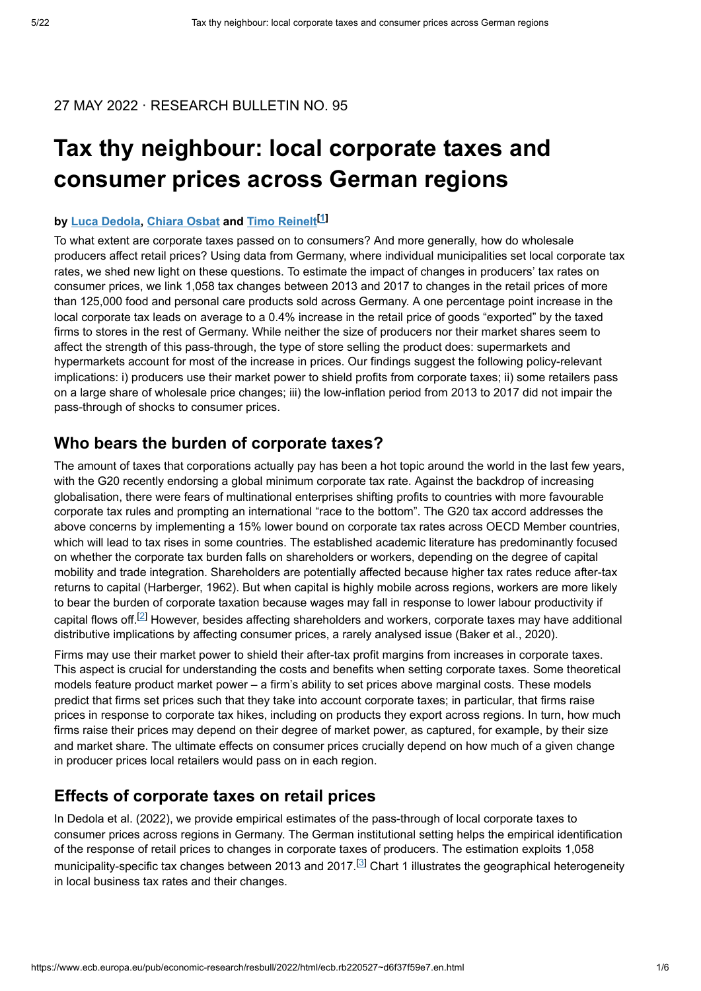### 27 MAY 2022 · RESEARCH BULLETIN NO. 95

# **Tax thy neighbour: local corporate taxes and consumer prices across German regions**

### $\frac{1}{2}$  by <u>Luca Dedola, Chiara Osbat</u> and <u>[Timo Reinelt](https://www.ecb.europa.eu/pub/research/authors/profiles/timo-reinelt.en.html)</u>  $1$

To what extent are corporate taxes passed on to consumers? And more generally, how do wholesale producers affect retail prices? Using data from Germany, where individual municipalities set local corporate tax rates, we shed new light on these questions. To estimate the impact of changes in producers' tax rates on consumer prices, we link 1,058 tax changes between 2013 and 2017 to changes in the retail prices of more than 125,000 food and personal care products sold across Germany. A one percentage point increase in the local corporate tax leads on average to a 0.4% increase in the retail price of goods "exported" by the taxed firms to stores in the rest of Germany. While neither the size of producers nor their market shares seem to affect the strength of this pass-through, the type of store selling the product does: supermarkets and hypermarkets account for most of the increase in prices. Our findings suggest the following policy-relevant implications: i) producers use their market power to shield profits from corporate taxes; ii) some retailers pass on a large share of wholesale price changes; iii) the low-inflation period from 2013 to 2017 did not impair the pass-through of shocks to consumer prices.

### **Who bears the burden of corporate taxes?**

The amount of taxes that corporations actually pay has been a hot topic around the world in the last few years, with the G20 recently endorsing a global minimum corporate tax rate. Against the backdrop of increasing globalisation, there were fears of multinational enterprises shifting profits to countries with more favourable corporate tax rules and prompting an international "race to the bottom". The G20 tax accord addresses the above concerns by implementing a 15% lower bound on corporate tax rates across OECD Member countries, which will lead to tax rises in some countries. The established academic literature has predominantly focused on whether the corporate tax burden falls on shareholders or workers, depending on the degree of capital mobility and trade integration. Shareholders are potentially affected because higher tax rates reduce after-tax returns to capital (Harberger, 1962). But when capital is highly mobile across regions, workers are more likely to bear the burden of corporate taxation because wages may fall in response to lower labour productivity if capital flows off.<sup>[2]</sup> However, besides affecting shareholders and workers, corporate taxes may have additional distributive implications by affecting consumer prices, a rarely analysed issue (Baker et al., 2020).

Firms may use their market power to shield their after-tax profit margins from increases in corporate taxes. This aspect is crucial for understanding the costs and benefits when setting corporate taxes. Some theoretical models feature product market power – a firm's ability to set prices above marginal costs. These models predict that firms set prices such that they take into account corporate taxes; in particular, that firms raise prices in response to corporate tax hikes, including on products they export across regions. In turn, how much firms raise their prices may depend on their degree of market power, as captured, for example, by their size and market share. The ultimate effects on consumer prices crucially depend on how much of a given change in producer prices local retailers would pass on in each region.

### **Effects of corporate taxes on retail prices**

In Dedola et al. (2022), we provide empirical estimates of the pass-through of local corporate taxes to consumer prices across regions in Germany. The German institutional setting helps the empirical identification of the response of retail prices to changes in corporate taxes of producers. The estimation exploits 1,058 municipality-specific tax changes between 2013 and 2017. $^{[3]}$  Chart 1 illustrates the geographical heterogeneity in local business tax rates and their changes.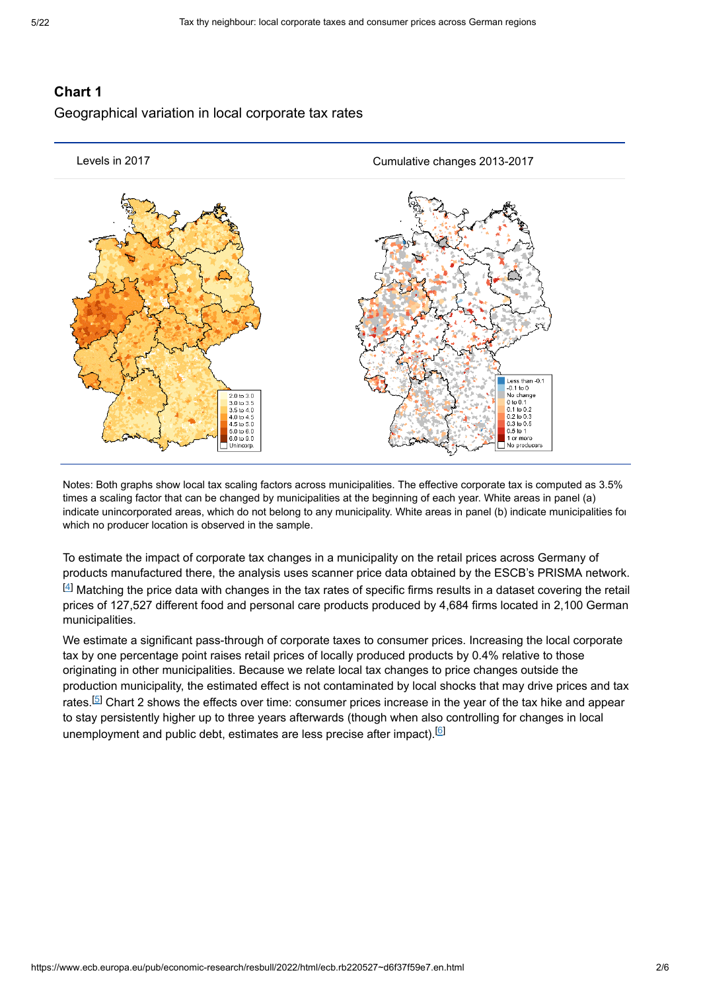## **Chart 1** Geographical variation in local corporate tax rates



Notes: Both graphs show local tax scaling factors across municipalities. The effective corporate tax is computed as 3.5% times a scaling factor that can be changed by municipalities at the beginning of each year. White areas in panel (a) indicate unincorporated areas, which do not belong to any municipality. White areas in panel (b) indicate municipalities for which no producer location is observed in the sample.

To estimate the impact of corporate tax changes in a municipality on the retail prices across Germany of products manufactured there, the analysis uses scanner price data obtained by the ESCB's PRISMA network.  $^{[4]}$  Matching the price data with changes in the tax rates of specific firms results in a dataset covering the retail prices of 127,527 different food and personal care products produced by 4,684 firms located in 2,100 German municipalities.

We estimate a significant pass-through of corporate taxes to consumer prices. Increasing the local corporate tax by one percentage point raises retail prices of locally produced products by 0.4% relative to those originating in other municipalities. Because we relate local tax changes to price changes outside the production municipality, the estimated effect is not contaminated by local shocks that may drive prices and tax rates.<sup>[5]</sup> Chart 2 shows the effects over time: consumer prices increase in the year of the tax hike and appear to stay persistently higher up to three years afterwards (though when also controlling for changes in local unemployment and public debt, estimates are less precise after impact). $^{[6]}$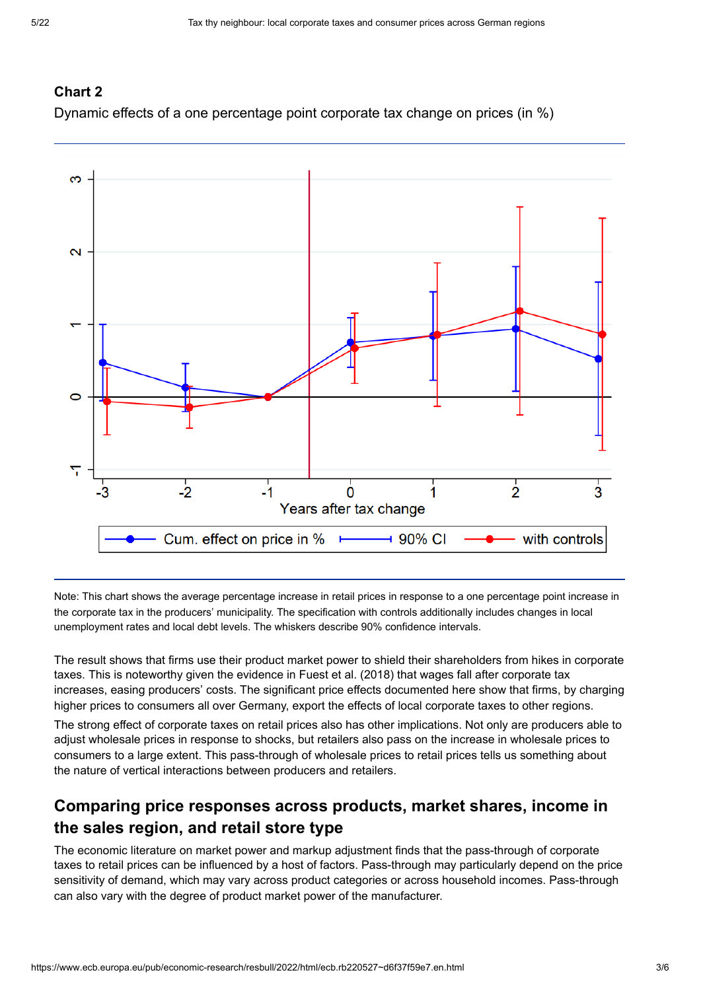### **Chart 2**

Dynamic effects of a one percentage point corporate tax change on prices (in %)



Note: This chart shows the average percentage increase in retail prices in response to a one percentage point increase in the corporate tax in the producers' municipality. The specification with controls additionally includes changes in local unemployment rates and local debt levels. The whiskers describe 90% confidence intervals.

The result shows that firms use their product market power to shield their shareholders from hikes in corporate taxes. This is noteworthy given the evidence in Fuest et al. (2018) that wages fall after corporate tax increases, easing producers' costs. The significant price effects documented here show that firms, by charging higher prices to consumers all over Germany, export the effects of local corporate taxes to other regions.

The strong effect of corporate taxes on retail prices also has other implications. Not only are producers able to adjust wholesale prices in response to shocks, but retailers also pass on the increase in wholesale prices to consumers to a large extent. This pass-through of wholesale prices to retail prices tells us something about the nature of vertical interactions between producers and retailers.

# **Comparing price responses across products, market shares, income in the sales region, and retail store type**

The economic literature on market power and markup adjustment finds that the pass-through of corporate taxes to retail prices can be influenced by a host of factors. Pass-through may particularly depend on the price sensitivity of demand, which may vary across product categories or across household incomes. Pass-through can also vary with the degree of product market power of the manufacturer.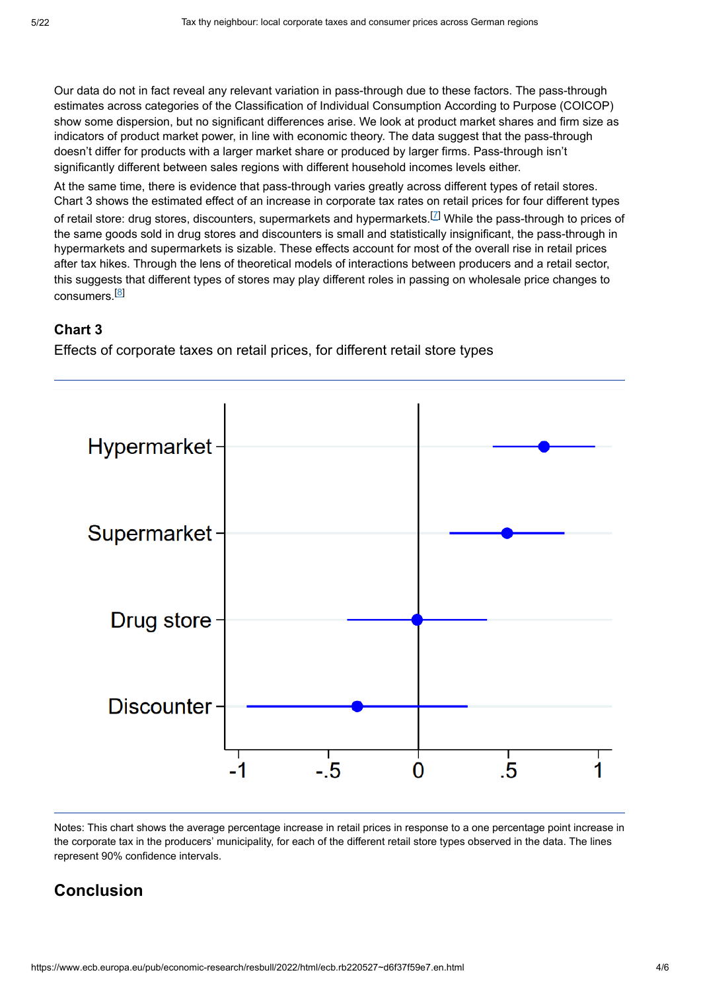Our data do not in fact reveal any relevant variation in pass-through due to these factors. The pass-through estimates across categories of the Classification of Individual Consumption According to Purpose (COICOP) show some dispersion, but no significant differences arise. We look at product market shares and firm size as indicators of product market power, in line with economic theory. The data suggest that the pass-through doesn't differ for products with a larger market share or produced by larger firms. Pass-through isn't significantly different between sales regions with different household incomes levels either.

At the same time, there is evidence that pass-through varies greatly across different types of retail stores. Chart 3 shows the estimated effect of an increase in corporate tax rates on retail prices for four different types of retail store: drug stores, discounters, supermarkets and hypermarkets. $^{[7]}$  While the pass-through to prices of the same goods sold in drug stores and discounters is small and statistically insignificant, the pass-through in hypermarkets and supermarkets is sizable. These effects account for most of the overall rise in retail prices after tax hikes. Through the lens of theoretical models of interactions between producers and a retail sector, this suggests that different types of stores may play different roles in passing on wholesale price changes to consumers.<sup>[8]</sup>

### **Chart 3**

Effects of corporate taxes on retail prices, for different retail store types



Notes: This chart shows the average percentage increase in retail prices in response to a one percentage point increase in the corporate tax in the producers' municipality, for each of the different retail store types observed in the data. The lines represent 90% confidence intervals.

# **Conclusion**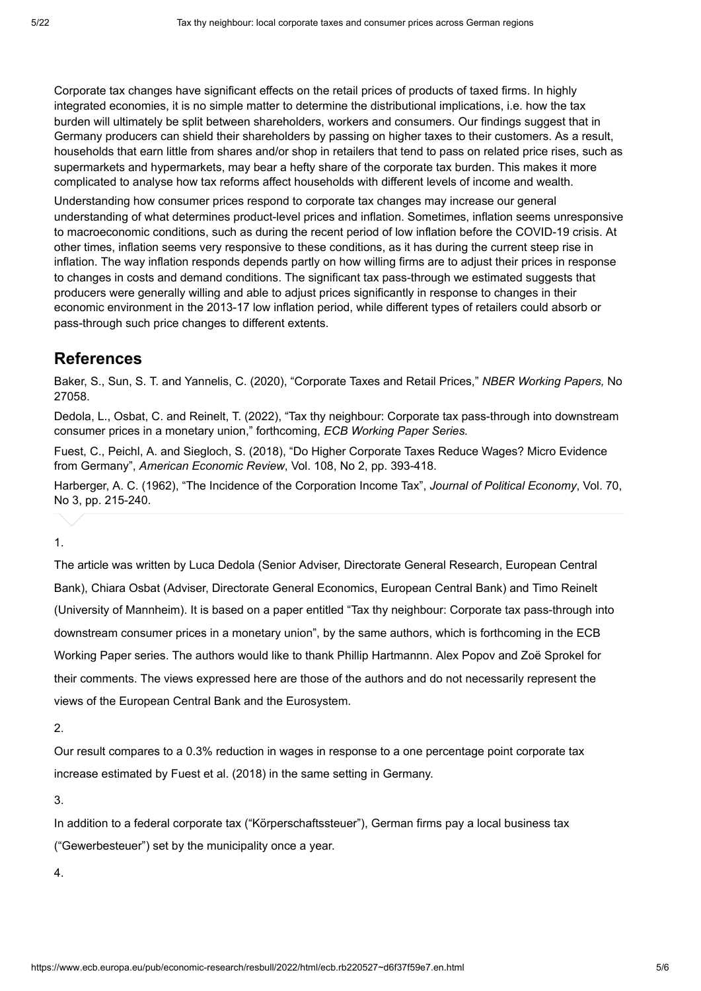Corporate tax changes have significant effects on the retail prices of products of taxed firms. In highly integrated economies, it is no simple matter to determine the distributional implications, i.e. how the tax burden will ultimately be split between shareholders, workers and consumers. Our findings suggest that in Germany producers can shield their shareholders by passing on higher taxes to their customers. As a result, households that earn little from shares and/or shop in retailers that tend to pass on related price rises, such as supermarkets and hypermarkets, may bear a hefty share of the corporate tax burden. This makes it more complicated to analyse how tax reforms affect households with different levels of income and wealth.

Understanding how consumer prices respond to corporate tax changes may increase our general understanding of what determines product-level prices and inflation. Sometimes, inflation seems unresponsive to macroeconomic conditions, such as during the recent period of low inflation before the COVID-19 crisis. At other times, inflation seems very responsive to these conditions, as it has during the current steep rise in inflation. The way inflation responds depends partly on how willing firms are to adjust their prices in response to changes in costs and demand conditions. The significant tax pass-through we estimated suggests that producers were generally willing and able to adjust prices significantly in response to changes in their economic environment in the 2013-17 low inflation period, while different types of retailers could absorb or pass-through such price changes to different extents.

### **References**

Baker, S., Sun, S. T. and Yannelis, C. (2020), "Corporate Taxes and Retail Prices," *NBER Working Papers,* No 27058.

Dedola, L., Osbat, C. and Reinelt, T. (2022), "Tax thy neighbour: Corporate tax pass-through into downstream consumer prices in a monetary union," forthcoming, *ECB Working Paper Series.*

Fuest, C., Peichl, A. and Siegloch, S. (2018), "Do Higher Corporate Taxes Reduce Wages? Micro Evidence from Germany", *American Economic Review*, Vol. 108, No 2, pp. 393-418.

Harberger, A. C. (1962), "The Incidence of the Corporation Income Tax", *Journal of Political Economy*, Vol. 70, No 3, pp. 215-240.

1.

The article was written by Luca Dedola (Senior Adviser, Directorate General Research, European Central Bank), Chiara Osbat (Adviser, Directorate General Economics, European Central Bank) and Timo Reinelt (University of Mannheim). It is based on a paper entitled "Tax thy neighbour: Corporate tax pass-through into downstream consumer prices in a monetary union", by the same authors, which is forthcoming in the ECB Working Paper series. The authors would like to thank Phillip Hartmannn. Alex Popov and Zoë Sprokel for their comments. The views expressed here are those of the authors and do not necessarily represent the views of the European Central Bank and the Eurosystem.

2.

Our result compares to a 0.3% reduction in wages in response to a one percentage point corporate tax increase estimated by Fuest et al. (2018) in the same setting in Germany.

3.

In addition to a federal corporate tax ("Körperschaftssteuer"), German firms pay a local business tax ("Gewerbesteuer") set by the municipality once a year.

4.